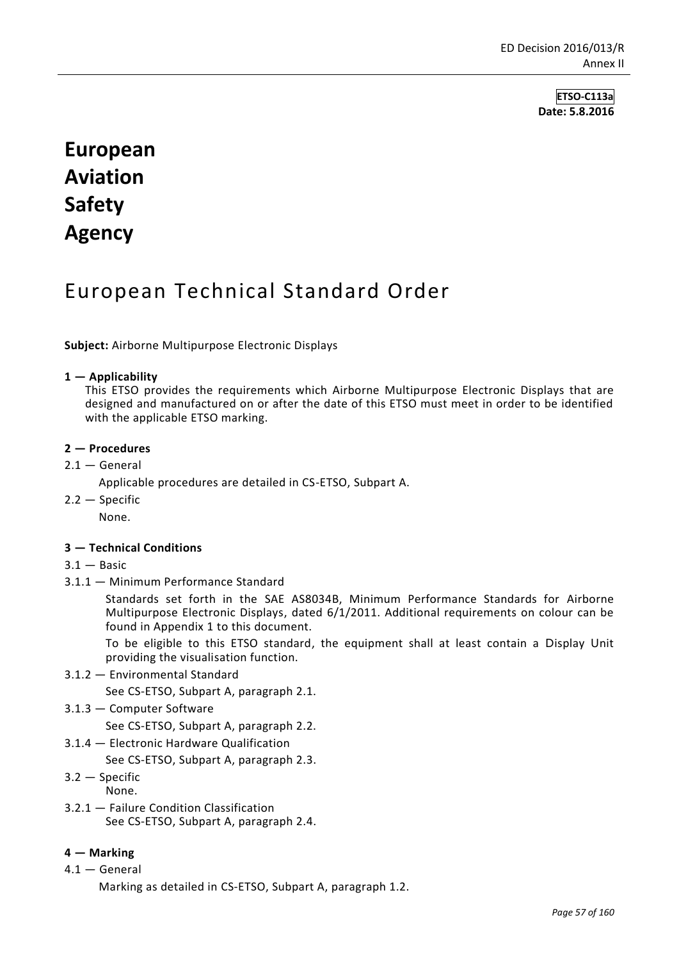**ETSO-C113a Date: 5.8.2016**

# **European Aviation Safety Agency**

## European Technical Standard Order

**Subject:** Airborne Multipurpose Electronic Displays

## **1 — Applicability**

This ETSO provides the requirements which Airborne Multipurpose Electronic Displays that are designed and manufactured on or after the date of this ETSO must meet in order to be identified with the applicable ETSO marking.

## **2 — Procedures**

 $2.1 -$  General

Applicable procedures are detailed in CS-ETSO, Subpart A.

2.2 — Specific

None.

## **3 — Technical Conditions**

- $3.1 -$ Basic
- 3.1.1 Minimum Performance Standard

Standards set forth in the SAE AS8034B, Minimum Performance Standards for Airborne Multipurpose Electronic Displays, dated 6/1/2011. Additional requirements on colour can be found in Appendix 1 to this document.

To be eligible to this ETSO standard, the equipment shall at least contain a Display Unit providing the visualisation function.

3.1.2 — Environmental Standard

See CS-ETSO, Subpart A, paragraph 2.1.

3.1.3 — Computer Software

See CS-ETSO, Subpart A, paragraph 2.2.

3.1.4 — Electronic Hardware Qualification

See CS-ETSO, Subpart A, paragraph 2.3.

- 3.2 Specific None.
- 3.2.1 Failure Condition Classification See CS-ETSO, Subpart A, paragraph 2.4.

## **4 — Marking**

4.1 — General

Marking as detailed in CS-ETSO, Subpart A, paragraph 1.2.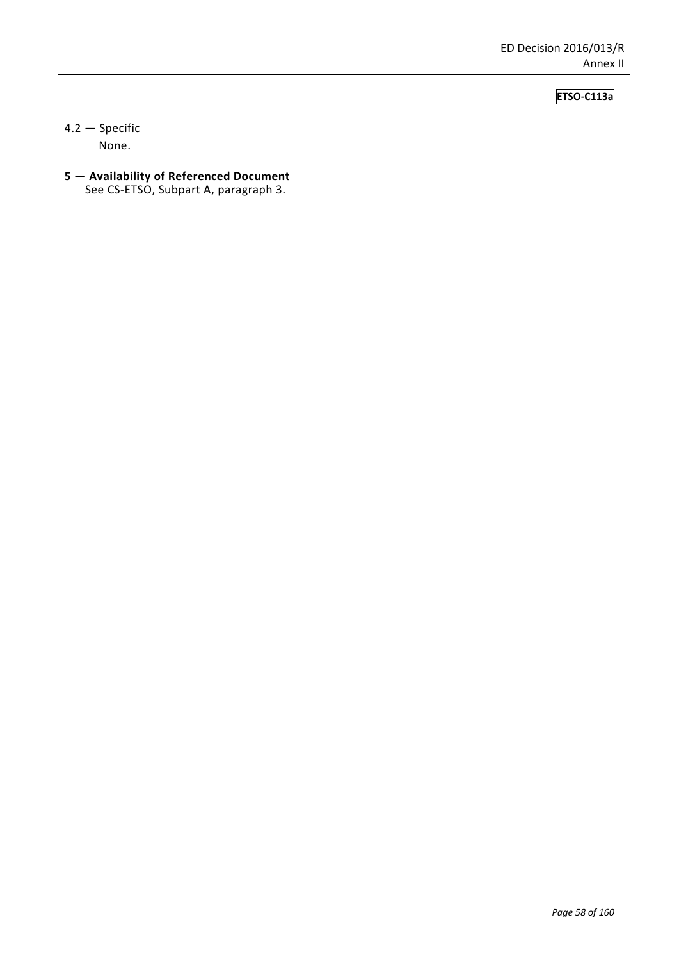## **ETSO-C113a**

4.2 — Specific None.

**5 — Availability of Referenced Document** See CS-ETSO, Subpart A, paragraph 3.